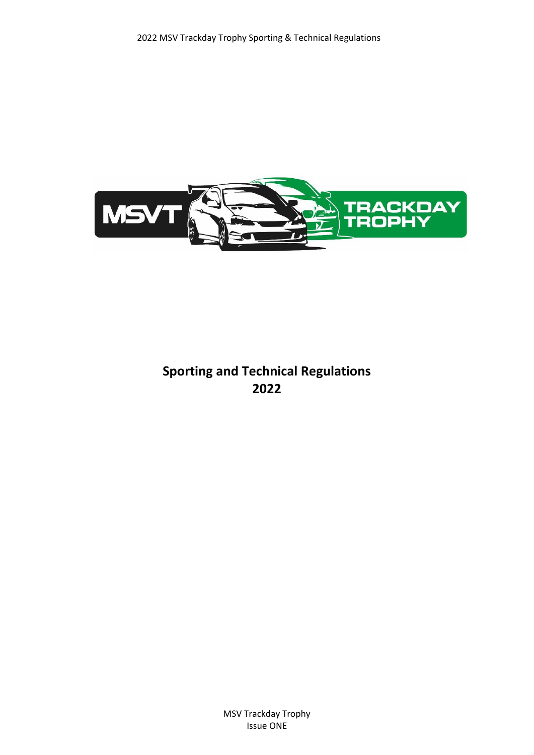

# **Sporting and Technical Regulations 2022**

MSV Trackday Trophy Issue ONE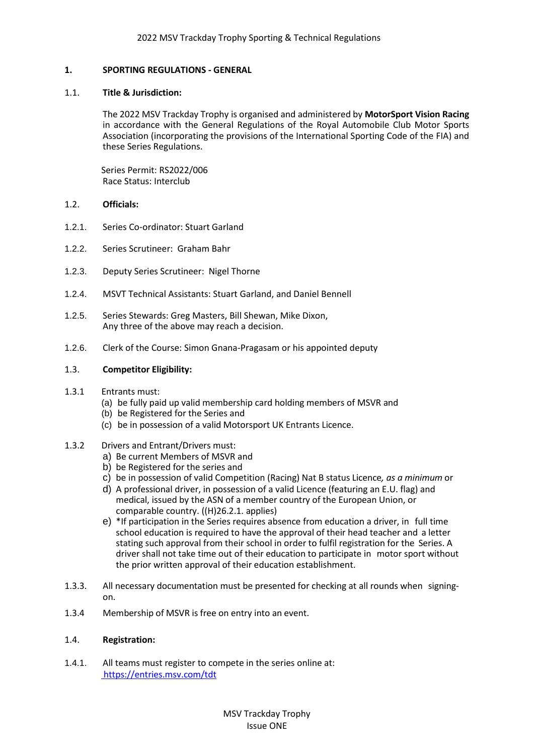## **1. SPORTING REGULATIONS - GENERAL**

#### 1.1. **Title & Jurisdiction:**

The 2022 MSV Trackday Trophy is organised and administered by **MotorSport Vision Racing** in accordance with the General Regulations of the Royal Automobile Club Motor Sports Association (incorporating the provisions of the International Sporting Code of the FIA) and these Series Regulations.

 Series Permit: RS2022/006 Race Status: Interclub

#### 1.2. **Officials:**

- 1.2.1. Series Co-ordinator: Stuart Garland
- 1.2.2. Series Scrutineer: Graham Bahr
- 1.2.3. Deputy Series Scrutineer: Nigel Thorne
- 1.2.4. MSVT Technical Assistants: Stuart Garland, and Daniel Bennell
- 1.2.5. Series Stewards: Greg Masters, Bill Shewan, Mike Dixon, Any three of the above may reach a decision.
- 1.2.6. Clerk of the Course: Simon Gnana-Pragasam or his appointed deputy

#### 1.3. **Competitor Eligibility:**

- 1.3.1 Entrants must:
	- (a) be fully paid up valid membership card holding members of MSVR and
	- (b) be Registered for the Series and
	- (c) be in possession of a valid Motorsport UK Entrants Licence.

#### 1.3.2 Drivers and Entrant/Drivers must:

- a) Be current Members of MSVR and
- b) be Registered for the series and
- c) be in possession of valid Competition (Racing) Nat B status Licence*, as a minimum* or
- d) A professional driver, in possession of a valid Licence (featuring an E.U. flag) and medical, issued by the ASN of a member country of the European Union, or comparable country. ((H)26.2.1. applies)
- e) \*If participation in the Series requires absence from education a driver, in full time school education is required to have the approval of their head teacher and a letter stating such approval from their school in order to fulfil registration for the Series. A driver shall not take time out of their education to participate in motor sport without the prior written approval of their education establishment.
- 1.3.3. All necessary documentation must be presented for checking at all rounds when signingon.
- 1.3.4 Membership of MSVR is free on entry into an event.

#### 1.4. **Registration:**

1.4.1. All teams must register to compete in the series online at: <https://entries.msv.com/tdt>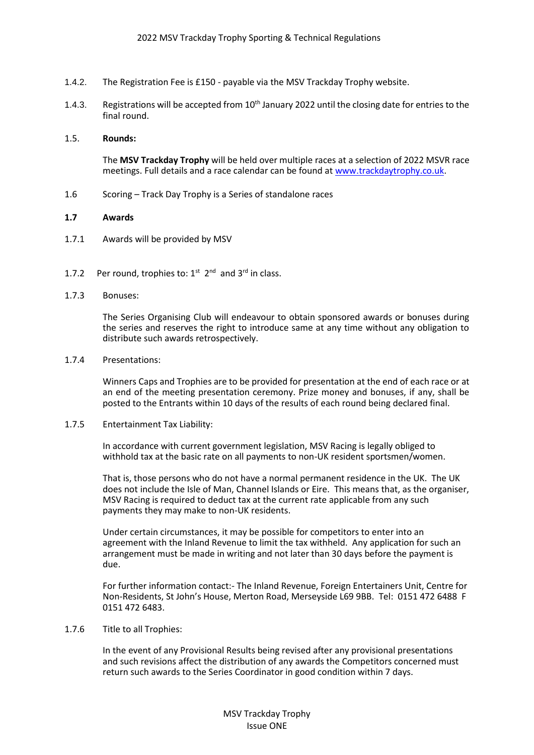- 1.4.2. The Registration Fee is £150 payable via the MSV Trackday Trophy website.
- 1.4.3. Registrations will be accepted from 10<sup>th</sup> January 2022 until the closing date for entries to the final round.

#### 1.5. **Rounds:**

The **MSV Trackday Trophy** will be held over multiple races at a selection of 2022 MSVR race meetings. Full details and a race calendar can be found a[t www.trackdaytrophy.co.uk.](http://www.trackdaytrophy.co.uk/)

1.6 Scoring – Track Day Trophy is a Series of standalone races

#### **1.7 Awards**

- 1.7.1 Awards will be provided by MSV
- 1.7.2 Per round, trophies to:  $1^{st}$   $2^{nd}$  and  $3^{rd}$  in class.
- 1.7.3 Bonuses:

The Series Organising Club will endeavour to obtain sponsored awards or bonuses during the series and reserves the right to introduce same at any time without any obligation to distribute such awards retrospectively.

1.7.4 Presentations:

Winners Caps and Trophies are to be provided for presentation at the end of each race or at an end of the meeting presentation ceremony. Prize money and bonuses, if any, shall be posted to the Entrants within 10 days of the results of each round being declared final.

#### 1.7.5 Entertainment Tax Liability:

In accordance with current government legislation, MSV Racing is legally obliged to withhold tax at the basic rate on all payments to non-UK resident sportsmen/women.

That is, those persons who do not have a normal permanent residence in the UK. The UK does not include the Isle of Man, Channel Islands or Eire. This means that, as the organiser, MSV Racing is required to deduct tax at the current rate applicable from any such payments they may make to non-UK residents.

Under certain circumstances, it may be possible for competitors to enter into an agreement with the Inland Revenue to limit the tax withheld. Any application for such an arrangement must be made in writing and not later than 30 days before the payment is due.

For further information contact:- The Inland Revenue, Foreign Entertainers Unit, Centre for Non-Residents, St John's House, Merton Road, Merseyside L69 9BB. Tel: 0151 472 6488 F 0151 472 6483.

#### 1.7.6 Title to all Trophies:

In the event of any Provisional Results being revised after any provisional presentations and such revisions affect the distribution of any awards the Competitors concerned must return such awards to the Series Coordinator in good condition within 7 days.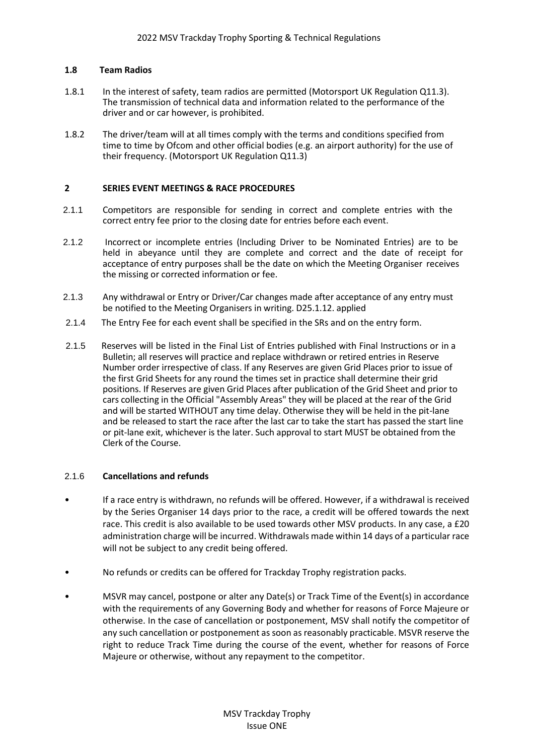## **1.8 Team Radios**

- 1.8.1 In the interest of safety, team radios are permitted (Motorsport UK Regulation Q11.3). The transmission of technical data and information related to the performance of the driver and or car however, is prohibited.
- 1.8.2 The driver/team will at all times comply with the terms and conditions specified from time to time by Ofcom and other official bodies (e.g. an airport authority) for the use of their frequency. (Motorsport UK Regulation Q11.3)

#### **2 SERIES EVENT MEETINGS & RACE PROCEDURES**

- 2.1.1 Competitors are responsible for sending in correct and complete entries with the correct entry fee prior to the closing date for entries before each event.
- 2.1.2 Incorrect or incomplete entries (Including Driver to be Nominated Entries) are to be held in abeyance until they are complete and correct and the date of receipt for acceptance of entry purposes shall be the date on which the Meeting Organiser receives the missing or corrected information or fee.
- 2.1.3 Any withdrawal or Entry or Driver/Car changes made after acceptance of any entry must be notified to the Meeting Organisers in writing. D25.1.12. applied
- 2.1.4 The Entry Fee for each event shall be specified in the SRs and on the entry form.
- 2.1.5 Reserves will be listed in the Final List of Entries published with Final Instructions or in a Bulletin; all reserves will practice and replace withdrawn or retired entries in Reserve Number order irrespective of class. If any Reserves are given Grid Places prior to issue of the first Grid Sheets for any round the times set in practice shall determine their grid positions. If Reserves are given Grid Places after publication of the Grid Sheet and prior to cars collecting in the Official "Assembly Areas" they will be placed at the rear of the Grid and will be started WITHOUT any time delay. Otherwise they will be held in the pit-lane and be released to start the race after the last car to take the start has passed the start line or pit-lane exit, whichever is the later. Such approval to start MUST be obtained from the Clerk of the Course.

# 2.1.6 **Cancellations and refunds**

- If a race entry is withdrawn, no refunds will be offered. However, if a withdrawal is received by the Series Organiser 14 days prior to the race, a credit will be offered towards the next race. This credit is also available to be used towards other MSV products. In any case, a £20 administration charge will be incurred. Withdrawals made within 14 days of a particular race will not be subject to any credit being offered.
- No refunds or credits can be offered for Trackday Trophy registration packs.
- MSVR may cancel, postpone or alter any Date(s) or Track Time of the Event(s) in accordance with the requirements of any Governing Body and whether for reasons of Force Majeure or otherwise. In the case of cancellation or postponement, MSV shall notify the competitor of any such cancellation or postponement as soon as reasonably practicable. MSVR reserve the right to reduce Track Time during the course of the event, whether for reasons of Force Majeure or otherwise, without any repayment to the competitor.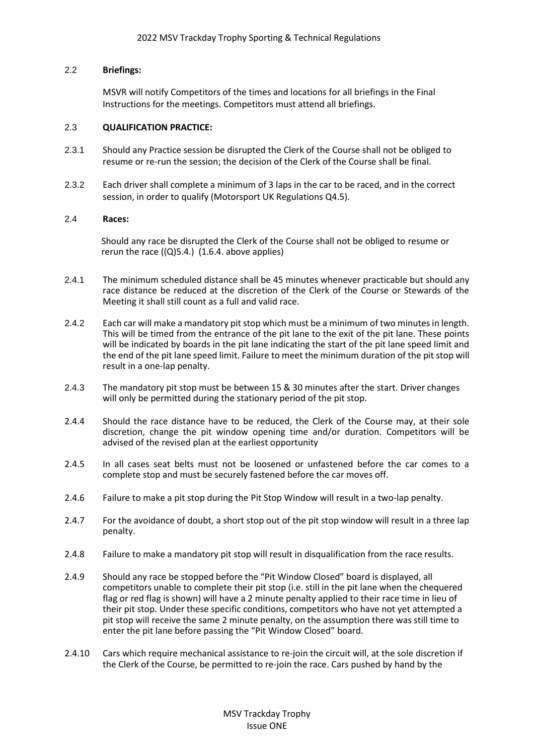## 2.2 **Briefings:**

MSVR will notify Competitors of the times and locations for all briefings in the Final Instructions for the meetings. Competitors must attend all briefings.

#### 2.3 **QUALIFICATION PRACTICE:**

- 2.3.1 Should any Practice session be disrupted the Clerk of the Course shall not be obliged to resume or re-run the session; the decision of the Clerk of the Course shall be final.
- 2.3.2 Each driver shall complete a minimum of 3 laps in the car to be raced, and in the correct session, in order to qualify (Motorsport UK Regulations Q4.5).

#### 2.4 **Races:**

Should any race be disrupted the Clerk of the Course shall not be obliged to resume or rerun the race  $((Q)5.4.)$  (1.6.4. above applies)

- 2.4.1 The minimum scheduled distance shall be 45 minutes whenever practicable but should any race distance be reduced at the discretion of the Clerk of the Course or Stewards of the Meeting it shall still count as a full and valid race.
- 2.4.2 Each car will make a mandatory pit stop which must be a minimum of two minutesin length. This will be timed from the entrance of the pit lane to the exit of the pit lane. These points will be indicated by boards in the pit lane indicating the start of the pit lane speed limit and the end of the pit lane speed limit. Failure to meet the minimum duration of the pit stop will result in a one-lap penalty.
- 2.4.3 The mandatory pit stop must be between 15 & 30 minutes after the start. Driver changes will only be permitted during the stationary period of the pit stop.
- 2.4.4 Should the race distance have to be reduced, the Clerk of the Course may, at their sole discretion, change the pit window opening time and/or duration. Competitors will be advised of the revised plan at the earliest opportunity
- 2.4.5 In all cases seat belts must not be loosened or unfastened before the car comes to a complete stop and must be securely fastened before the car moves off.
- 2.4.6 Failure to make a pit stop during the Pit Stop Window will result in a two-lap penalty.
- 2.4.7 For the avoidance of doubt, a short stop out of the pit stop window will result in a three lap penalty.
- 2.4.8 Failure to make a mandatory pit stop will result in disqualification from the race results.
- 2.4.9 Should any race be stopped before the "Pit Window Closed" board is displayed, all competitors unable to complete their pit stop (i.e. still in the pit lane when the chequered flag or red flag is shown) will have a 2 minute penalty applied to their race time in lieu of their pit stop. Under these specific conditions, competitors who have not yet attempted a pit stop will receive the same 2 minute penalty, on the assumption there was still time to enter the pit lane before passing the "Pit Window Closed" board.
- 2.4.10 Cars which require mechanical assistance to re-join the circuit will, at the sole discretion if the Clerk of the Course, be permitted to re-join the race. Cars pushed by hand by the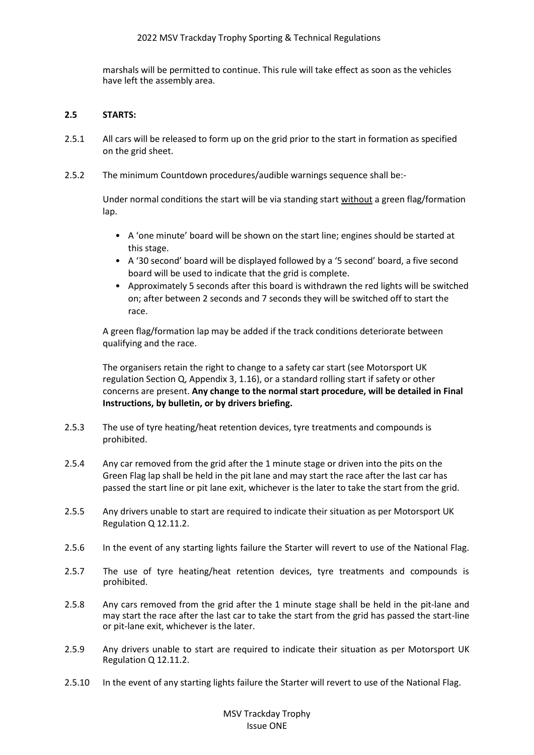marshals will be permitted to continue. This rule will take effect as soon as the vehicles have left the assembly area.

# **2.5 STARTS:**

- 2.5.1 All cars will be released to form up on the grid prior to the start in formation as specified on the grid sheet.
- 2.5.2 The minimum Countdown procedures/audible warnings sequence shall be:-

Under normal conditions the start will be via standing start without a green flag/formation lap.

- A 'one minute' board will be shown on the start line; engines should be started at this stage.
- A '30 second' board will be displayed followed by a '5 second' board, a five second board will be used to indicate that the grid is complete.
- Approximately 5 seconds after this board is withdrawn the red lights will be switched on; after between 2 seconds and 7 seconds they will be switched off to start the race.

A green flag/formation lap may be added if the track conditions deteriorate between qualifying and the race.

The organisers retain the right to change to a safety car start (see Motorsport UK regulation Section Q, Appendix 3, 1.16), or a standard rolling start if safety or other concerns are present. **Any change to the normal start procedure, will be detailed in Final Instructions, by bulletin, or by drivers briefing.**

- 2.5.3 The use of tyre heating/heat retention devices, tyre treatments and compounds is prohibited.
- 2.5.4 Any car removed from the grid after the 1 minute stage or driven into the pits on the Green Flag lap shall be held in the pit lane and may start the race after the last car has passed the start line or pit lane exit, whichever is the later to take the start from the grid.
- 2.5.5 Any drivers unable to start are required to indicate their situation as per Motorsport UK Regulation Q 12.11.2.
- 2.5.6 In the event of any starting lights failure the Starter will revert to use of the National Flag.
- 2.5.7 The use of tyre heating/heat retention devices, tyre treatments and compounds is prohibited.
- 2.5.8 Any cars removed from the grid after the 1 minute stage shall be held in the pit-lane and may start the race after the last car to take the start from the grid has passed the start-line or pit-lane exit, whichever is the later.
- 2.5.9 Any drivers unable to start are required to indicate their situation as per Motorsport UK Regulation Q 12.11.2.
- 2.5.10 In the event of any starting lights failure the Starter will revert to use of the National Flag.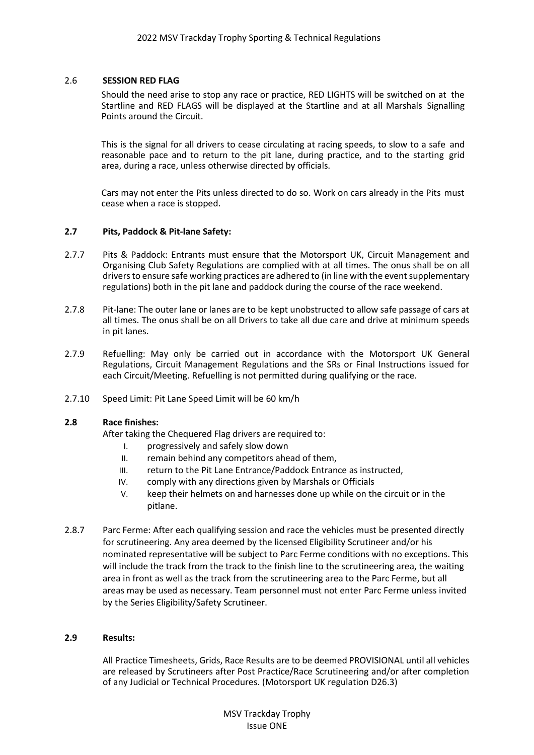#### 2.6 **SESSION RED FLAG**

Should the need arise to stop any race or practice, RED LIGHTS will be switched on at the Startline and RED FLAGS will be displayed at the Startline and at all Marshals Signalling Points around the Circuit.

This is the signal for all drivers to cease circulating at racing speeds, to slow to a safe and reasonable pace and to return to the pit lane, during practice, and to the starting grid area, during a race, unless otherwise directed by officials.

Cars may not enter the Pits unless directed to do so. Work on cars already in the Pits must cease when a race is stopped.

#### **2.7 Pits, Paddock & Pit-lane Safety:**

- 2.7.7 Pits & Paddock: Entrants must ensure that the Motorsport UK, Circuit Management and Organising Club Safety Regulations are complied with at all times. The onus shall be on all drivers to ensure safe working practices are adhered to (in line with the event supplementary regulations) both in the pit lane and paddock during the course of the race weekend.
- 2.7.8 Pit-lane: The outer lane or lanes are to be kept unobstructed to allow safe passage of cars at all times. The onus shall be on all Drivers to take all due care and drive at minimum speeds in pit lanes.
- 2.7.9 Refuelling: May only be carried out in accordance with the Motorsport UK General Regulations, Circuit Management Regulations and the SRs or Final Instructions issued for each Circuit/Meeting. Refuelling is not permitted during qualifying or the race.
- 2.7.10 Speed Limit: Pit Lane Speed Limit will be 60 km/h

## **2.8 Race finishes:**

After taking the Chequered Flag drivers are required to:

- I. progressively and safely slow down
- II. remain behind any competitors ahead of them,
- III. return to the Pit Lane Entrance/Paddock Entrance as instructed,
- IV. comply with any directions given by Marshals or Officials
- V. keep their helmets on and harnesses done up while on the circuit or in the pitlane.
- 2.8.7 Parc Ferme: After each qualifying session and race the vehicles must be presented directly for scrutineering. Any area deemed by the licensed Eligibility Scrutineer and/or his nominated representative will be subject to Parc Ferme conditions with no exceptions. This will include the track from the track to the finish line to the scrutineering area, the waiting area in front as well as the track from the scrutineering area to the Parc Ferme, but all areas may be used as necessary. Team personnel must not enter Parc Ferme unless invited by the Series Eligibility/Safety Scrutineer.

#### **2.9 Results:**

All Practice Timesheets, Grids, Race Results are to be deemed PROVISIONAL until all vehicles are released by Scrutineers after Post Practice/Race Scrutineering and/or after completion of any Judicial or Technical Procedures. (Motorsport UK regulation D26.3)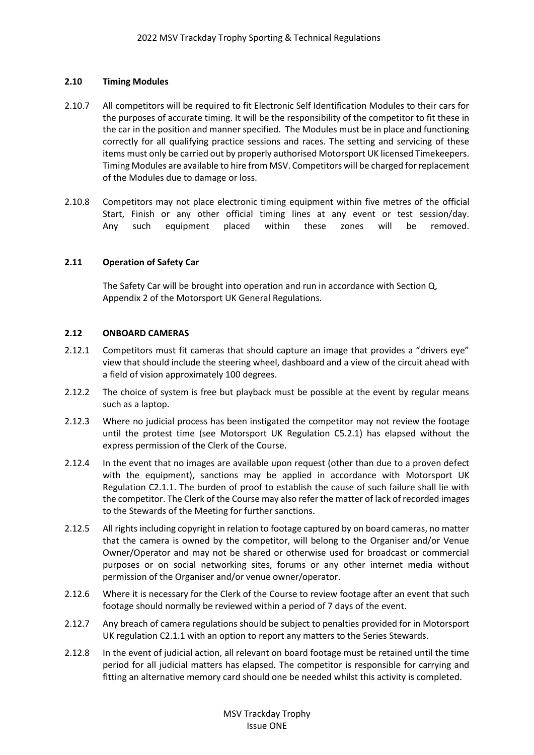# **2.10 Timing Modules**

- 2.10.7 All competitors will be required to fit Electronic Self Identification Modules to their cars for the purposes of accurate timing. It will be the responsibility of the competitor to fit these in the car in the position and manner specified. The Modules must be in place and functioning correctly for all qualifying practice sessions and races. The setting and servicing of these items must only be carried out by properly authorised Motorsport UK licensed Timekeepers. Timing Modules are available to hire from MSV. Competitors will be charged for replacement of the Modules due to damage or loss.
- 2.10.8 Competitors may not place electronic timing equipment within five metres of the official Start, Finish or any other official timing lines at any event or test session/day. Any such equipment placed within these zones will be removed.

# **2.11 Operation of Safety Car**

The Safety Car will be brought into operation and run in accordance with Section Q, Appendix 2 of the Motorsport UK General Regulations.

## **2.12 ONBOARD CAMERAS**

- 2.12.1 Competitors must fit cameras that should capture an image that provides a "drivers eye" view that should include the steering wheel, dashboard and a view of the circuit ahead with a field of vision approximately 100 degrees.
- 2.12.2 The choice of system is free but playback must be possible at the event by regular means such as a laptop.
- 2.12.3 Where no judicial process has been instigated the competitor may not review the footage until the protest time (see Motorsport UK Regulation C5.2.1) has elapsed without the express permission of the Clerk of the Course.
- 2.12.4 In the event that no images are available upon request (other than due to a proven defect with the equipment), sanctions may be applied in accordance with Motorsport UK Regulation C2.1.1. The burden of proof to establish the cause of such failure shall lie with the competitor. The Clerk of the Course may also refer the matter of lack of recorded images to the Stewards of the Meeting for further sanctions.
- 2.12.5 All rights including copyright in relation to footage captured by on board cameras, no matter that the camera is owned by the competitor, will belong to the Organiser and/or Venue Owner/Operator and may not be shared or otherwise used for broadcast or commercial purposes or on social networking sites, forums or any other internet media without permission of the Organiser and/or venue owner/operator.
- 2.12.6 Where it is necessary for the Clerk of the Course to review footage after an event that such footage should normally be reviewed within a period of 7 days of the event.
- 2.12.7 Any breach of camera regulations should be subject to penalties provided for in Motorsport UK regulation C2.1.1 with an option to report any matters to the Series Stewards.
- 2.12.8 In the event of judicial action, all relevant on board footage must be retained until the time period for all judicial matters has elapsed. The competitor is responsible for carrying and fitting an alternative memory card should one be needed whilst this activity is completed.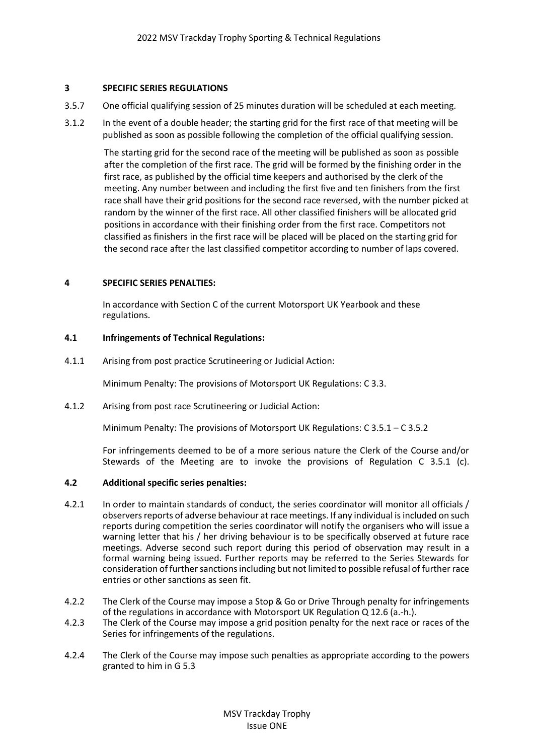# **3 SPECIFIC SERIES REGULATIONS**

- 3.5.7 One official qualifying session of 25 minutes duration will be scheduled at each meeting.
- 3.1.2 In the event of a double header; the starting grid for the first race of that meeting will be published as soon as possible following the completion of the official qualifying session.

The starting grid for the second race of the meeting will be published as soon as possible after the completion of the first race. The grid will be formed by the finishing order in the first race, as published by the official time keepers and authorised by the clerk of the meeting. Any number between and including the first five and ten finishers from the first race shall have their grid positions for the second race reversed, with the number picked at random by the winner of the first race. All other classified finishers will be allocated grid positions in accordance with their finishing order from the first race. Competitors not classified as finishers in the first race will be placed will be placed on the starting grid for the second race after the last classified competitor according to number of laps covered.

## **4 SPECIFIC SERIES PENALTIES:**

In accordance with Section C of the current Motorsport UK Yearbook and these regulations.

## **4.1 Infringements of Technical Regulations:**

4.1.1 Arising from post practice Scrutineering or Judicial Action:

Minimum Penalty: The provisions of Motorsport UK Regulations: C 3.3.

4.1.2 Arising from post race Scrutineering or Judicial Action:

Minimum Penalty: The provisions of Motorsport UK Regulations: C 3.5.1 – C 3.5.2

For infringements deemed to be of a more serious nature the Clerk of the Course and/or Stewards of the Meeting are to invoke the provisions of Regulation C 3.5.1 (c).

## **4.2 Additional specific series penalties:**

- 4.2.1 In order to maintain standards of conduct, the series coordinator will monitor all officials / observers reports of adverse behaviour at race meetings. If any individual is included on such reports during competition the series coordinator will notify the organisers who will issue a warning letter that his / her driving behaviour is to be specifically observed at future race meetings. Adverse second such report during this period of observation may result in a formal warning being issued. Further reports may be referred to the Series Stewards for consideration of further sanctions including but not limited to possible refusal of further race entries or other sanctions as seen fit.
- 4.2.2 The Clerk of the Course may impose a Stop & Go or Drive Through penalty for infringements of the regulations in accordance with Motorsport UK Regulation Q 12.6 (a.-h.).
- 4.2.3 The Clerk of the Course may impose a grid position penalty for the next race or races of the Series for infringements of the regulations.
- 4.2.4 The Clerk of the Course may impose such penalties as appropriate according to the powers granted to him in G 5.3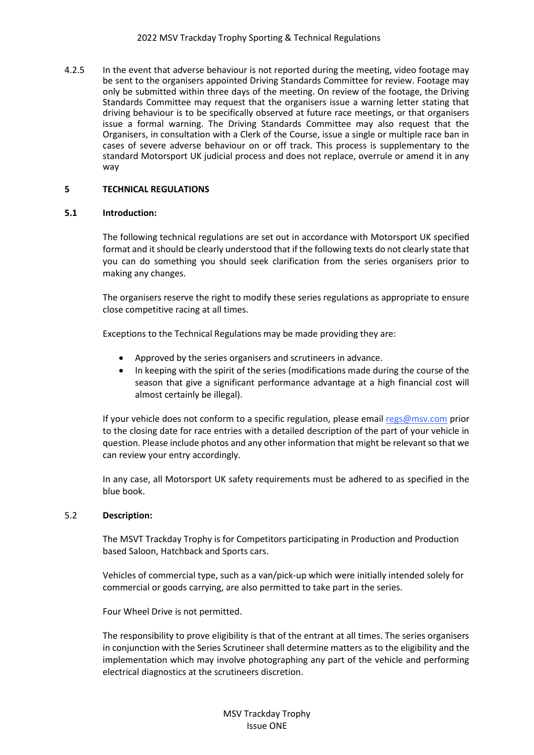4.2.5 In the event that adverse behaviour is not reported during the meeting, video footage may be sent to the organisers appointed Driving Standards Committee for review. Footage may only be submitted within three days of the meeting. On review of the footage, the Driving Standards Committee may request that the organisers issue a warning letter stating that driving behaviour is to be specifically observed at future race meetings, or that organisers issue a formal warning. The Driving Standards Committee may also request that the Organisers, in consultation with a Clerk of the Course, issue a single or multiple race ban in cases of severe adverse behaviour on or off track. This process is supplementary to the standard Motorsport UK judicial process and does not replace, overrule or amend it in any way

## **5 TECHNICAL REGULATIONS**

#### **5.1 Introduction:**

The following technical regulations are set out in accordance with Motorsport UK specified format and it should be clearly understood that if the following texts do not clearly state that you can do something you should seek clarification from the series organisers prior to making any changes.

The organisers reserve the right to modify these series regulations as appropriate to ensure close competitive racing at all times.

Exceptions to the Technical Regulations may be made providing they are:

- Approved by the series organisers and scrutineers in advance.
- In keeping with the spirit of the series (modifications made during the course of the season that give a significant performance advantage at a high financial cost will almost certainly be illegal).

If your vehicle does not conform to a specific regulation, please email regs@msv.com prior to the closing date for race entries with a detailed description of the part of your vehicle in question. Please include photos and any other information that might be relevant so that we can review your entry accordingly.

In any case, all Motorsport UK safety requirements must be adhered to as specified in the blue book.

#### 5.2 **Description:**

The MSVT Trackday Trophy is for Competitors participating in Production and Production based Saloon, Hatchback and Sports cars.

Vehicles of commercial type, such as a van/pick-up which were initially intended solely for commercial or goods carrying, are also permitted to take part in the series.

Four Wheel Drive is not permitted.

The responsibility to prove eligibility is that of the entrant at all times. The series organisers in conjunction with the Series Scrutineer shall determine matters as to the eligibility and the implementation which may involve photographing any part of the vehicle and performing electrical diagnostics at the scrutineers discretion.

> MSV Trackday Trophy Issue ONE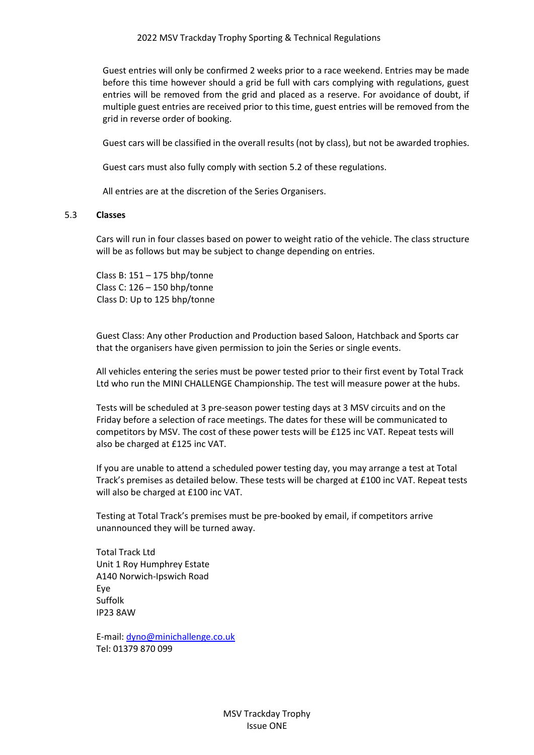Guest entries will only be confirmed 2 weeks prior to a race weekend. Entries may be made before this time however should a grid be full with cars complying with regulations, guest entries will be removed from the grid and placed as a reserve. For avoidance of doubt, if multiple guest entries are received prior to this time, guest entries will be removed from the grid in reverse order of booking.

Guest cars will be classified in the overall results (not by class), but not be awarded trophies.

Guest cars must also fully comply with section 5.2 of these regulations.

All entries are at the discretion of the Series Organisers.

#### 5.3 **Classes**

Cars will run in four classes based on power to weight ratio of the vehicle. The class structure will be as follows but may be subject to change depending on entries.

Class B: 151 – 175 bhp/tonne Class C: 126 – 150 bhp/tonne Class D: Up to 125 bhp/tonne

Guest Class: Any other Production and Production based Saloon, Hatchback and Sports car that the organisers have given permission to join the Series or single events.

All vehicles entering the series must be power tested prior to their first event by Total Track Ltd who run the MINI CHALLENGE Championship. The test will measure power at the hubs.

Tests will be scheduled at 3 pre-season power testing days at 3 MSV circuits and on the Friday before a selection of race meetings. The dates for these will be communicated to competitors by MSV. The cost of these power tests will be £125 inc VAT. Repeat tests will also be charged at £125 inc VAT.

If you are unable to attend a scheduled power testing day, you may arrange a test at Total Track's premises as detailed below. These tests will be charged at £100 inc VAT. Repeat tests will also be charged at £100 inc VAT.

Testing at Total Track's premises must be pre-booked by email, if competitors arrive unannounced they will be turned away.

Total Track Ltd Unit 1 Roy Humphrey Estate A140 Norwich-Ipswich Road Eye Suffolk IP23 8AW

E-mail[: dyno@minichallenge.co.uk](mailto:dyno@minichallenge.co.uk) Tel: 01379 870 099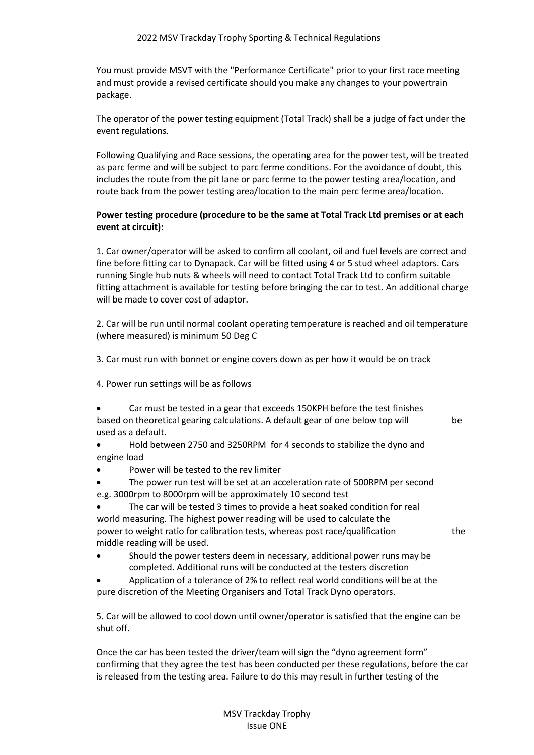You must provide MSVT with the "Performance Certificate" prior to your first race meeting and must provide a revised certificate should you make any changes to your powertrain package.

The operator of the power testing equipment (Total Track) shall be a judge of fact under the event regulations.

Following Qualifying and Race sessions, the operating area for the power test, will be treated as parc ferme and will be subject to parc ferme conditions. For the avoidance of doubt, this includes the route from the pit lane or parc ferme to the power testing area/location, and route back from the power testing area/location to the main perc ferme area/location.

# **Power testing procedure (procedure to be the same at Total Track Ltd premises or at each event at circuit):**

1. Car owner/operator will be asked to confirm all coolant, oil and fuel levels are correct and fine before fitting car to Dynapack. Car will be fitted using 4 or 5 stud wheel adaptors. Cars running Single hub nuts & wheels will need to contact Total Track Ltd to confirm suitable fitting attachment is available for testing before bringing the car to test. An additional charge will be made to cover cost of adaptor.

2. Car will be run until normal coolant operating temperature is reached and oil temperature (where measured) is minimum 50 Deg C

- 3. Car must run with bonnet or engine covers down as per how it would be on track
- 4. Power run settings will be as follows
- Car must be tested in a gear that exceeds 150KPH before the test finishes based on theoretical gearing calculations. A default gear of one below top will be used as a default.

- Hold between 2750 and 3250RPM for 4 seconds to stabilize the dyno and engine load
- Power will be tested to the rev limiter
- The power run test will be set at an acceleration rate of 500RPM per second e.g. 3000rpm to 8000rpm will be approximately 10 second test
- The car will be tested 3 times to provide a heat soaked condition for real world measuring. The highest power reading will be used to calculate the power to weight ratio for calibration tests, whereas post race/qualification the middle reading will be used.

- Should the power testers deem in necessary, additional power runs may be completed. Additional runs will be conducted at the testers discretion
- Application of a tolerance of 2% to reflect real world conditions will be at the pure discretion of the Meeting Organisers and Total Track Dyno operators.

5. Car will be allowed to cool down until owner/operator is satisfied that the engine can be shut off.

Once the car has been tested the driver/team will sign the "dyno agreement form" confirming that they agree the test has been conducted per these regulations, before the car is released from the testing area. Failure to do this may result in further testing of the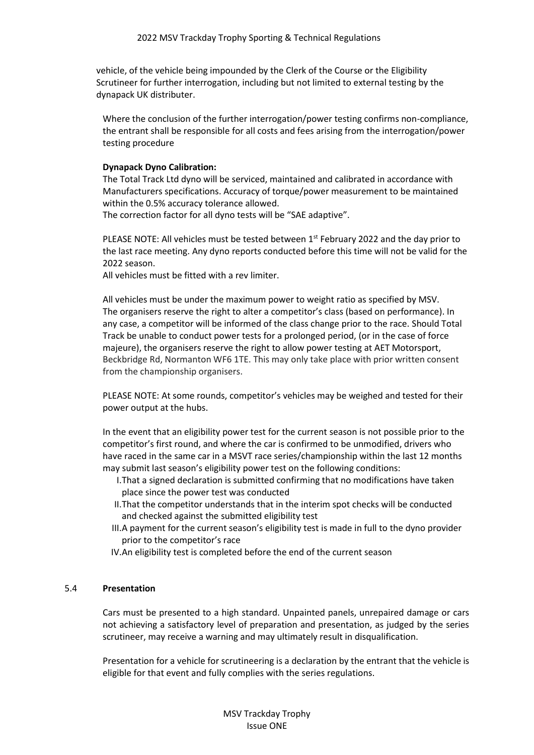vehicle, of the vehicle being impounded by the Clerk of the Course or the Eligibility Scrutineer for further interrogation, including but not limited to external testing by the dynapack UK distributer.

Where the conclusion of the further interrogation/power testing confirms non-compliance, the entrant shall be responsible for all costs and fees arising from the interrogation/power testing procedure

## **Dynapack Dyno Calibration:**

The Total Track Ltd dyno will be serviced, maintained and calibrated in accordance with Manufacturers specifications. Accuracy of torque/power measurement to be maintained within the 0.5% accuracy tolerance allowed.

The correction factor for all dyno tests will be "SAE adaptive".

PLEASE NOTE: All vehicles must be tested between 1<sup>st</sup> February 2022 and the day prior to the last race meeting. Any dyno reports conducted before this time will not be valid for the 2022 season.

All vehicles must be fitted with a rev limiter.

All vehicles must be under the maximum power to weight ratio as specified by MSV. The organisers reserve the right to alter a competitor's class (based on performance). In any case, a competitor will be informed of the class change prior to the race. Should Total Track be unable to conduct power tests for a prolonged period, (or in the case of force majeure), the organisers reserve the right to allow power testing at AET Motorsport, Beckbridge Rd, Normanton WF6 1TE. This may only take place with prior written consent from the championship organisers.

PLEASE NOTE: At some rounds, competitor's vehicles may be weighed and tested for their power output at the hubs.

In the event that an eligibility power test for the current season is not possible prior to the competitor's first round, and where the car is confirmed to be unmodified, drivers who have raced in the same car in a MSVT race series/championship within the last 12 months may submit last season's eligibility power test on the following conditions:

- I.That a signed declaration is submitted confirming that no modifications have taken place since the power test was conducted
- II.That the competitor understands that in the interim spot checks will be conducted and checked against the submitted eligibility test
- III.A payment for the current season's eligibility test is made in full to the dyno provider prior to the competitor's race
- IV.An eligibility test is completed before the end of the current season

## 5.4 **Presentation**

Cars must be presented to a high standard. Unpainted panels, unrepaired damage or cars not achieving a satisfactory level of preparation and presentation, as judged by the series scrutineer, may receive a warning and may ultimately result in disqualification.

Presentation for a vehicle for scrutineering is a declaration by the entrant that the vehicle is eligible for that event and fully complies with the series regulations.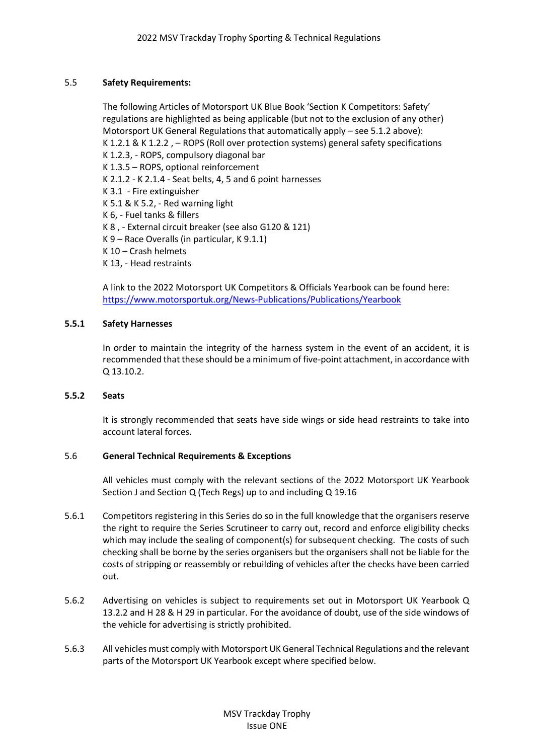# 5.5 **Safety Requirements:**

The following Articles of Motorsport UK Blue Book 'Section K Competitors: Safety' regulations are highlighted as being applicable (but not to the exclusion of any other) Motorsport UK General Regulations that automatically apply – see 5.1.2 above): K 1.2.1 & K 1.2.2 , – ROPS (Roll over protection systems) general safety specifications K 1.2.3, - ROPS, compulsory diagonal bar K 1.3.5 – ROPS, optional reinforcement K 2.1.2 - K 2.1.4 - Seat belts, 4, 5 and 6 point harnesses K 3.1 - Fire extinguisher K 5.1 & K 5.2, - Red warning light K 6, - Fuel tanks & fillers K 8 , - External circuit breaker (see also G120 & 121) K 9 – Race Overalls (in particular, K 9.1.1) K 10 – Crash helmets K 13, - Head restraints A link to the 2022 Motorsport UK Competitors & Officials Yearbook can be found here: <https://www.motorsportuk.org/News-Publications/Publications/Yearbook>

## **5.5.1 Safety Harnesses**

In order to maintain the integrity of the harness system in the event of an accident, it is recommended that these should be a minimum of five-point attachment, in accordance with Q 13.10.2.

## **5.5.2 Seats**

It is strongly recommended that seats have side wings or side head restraints to take into account lateral forces.

## 5.6 **General Technical Requirements & Exceptions**

All vehicles must comply with the relevant sections of the 2022 Motorsport UK Yearbook Section J and Section Q (Tech Regs) up to and including Q 19.16

- 5.6.1 Competitors registering in this Series do so in the full knowledge that the organisers reserve the right to require the Series Scrutineer to carry out, record and enforce eligibility checks which may include the sealing of component(s) for subsequent checking. The costs of such checking shall be borne by the series organisers but the organisers shall not be liable for the costs of stripping or reassembly or rebuilding of vehicles after the checks have been carried out.
- 5.6.2 Advertising on vehicles is subject to requirements set out in Motorsport UK Yearbook Q 13.2.2 and H 28 & H 29 in particular. For the avoidance of doubt, use of the side windows of the vehicle for advertising is strictly prohibited.
- 5.6.3 All vehicles must comply with Motorsport UK General Technical Regulations and the relevant parts of the Motorsport UK Yearbook except where specified below.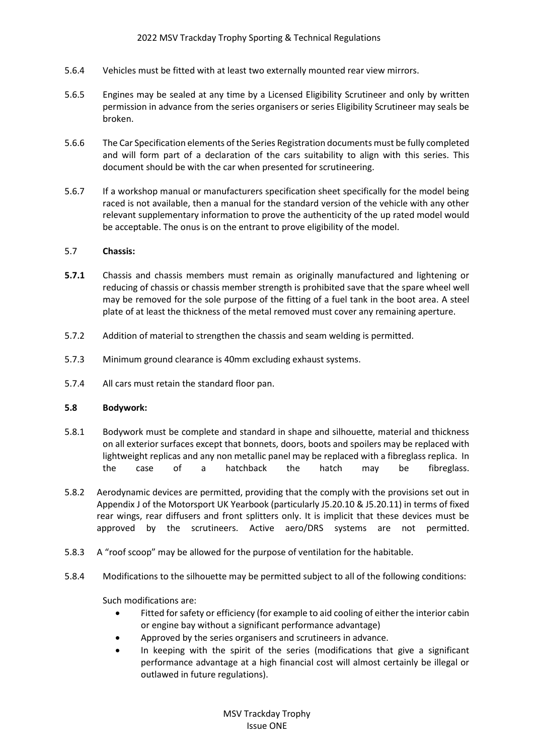- 5.6.4 Vehicles must be fitted with at least two externally mounted rear view mirrors.
- 5.6.5 Engines may be sealed at any time by a Licensed Eligibility Scrutineer and only by written permission in advance from the series organisers or series Eligibility Scrutineer may seals be broken.
- 5.6.6 The Car Specification elements of the Series Registration documents must be fully completed and will form part of a declaration of the cars suitability to align with this series. This document should be with the car when presented for scrutineering.
- 5.6.7 If a workshop manual or manufacturers specification sheet specifically for the model being raced is not available, then a manual for the standard version of the vehicle with any other relevant supplementary information to prove the authenticity of the up rated model would be acceptable. The onus is on the entrant to prove eligibility of the model.

## 5.7 **Chassis:**

- **5.7.1** Chassis and chassis members must remain as originally manufactured and lightening or reducing of chassis or chassis member strength is prohibited save that the spare wheel well may be removed for the sole purpose of the fitting of a fuel tank in the boot area. A steel plate of at least the thickness of the metal removed must cover any remaining aperture.
- 5.7.2 Addition of material to strengthen the chassis and seam welding is permitted.
- 5.7.3 Minimum ground clearance is 40mm excluding exhaust systems.
- 5.7.4 All cars must retain the standard floor pan.

## **5.8 Bodywork:**

- 5.8.1 Bodywork must be complete and standard in shape and silhouette, material and thickness on all exterior surfaces except that bonnets, doors, boots and spoilers may be replaced with lightweight replicas and any non metallic panel may be replaced with a fibreglass replica. In the case of a hatchback the hatch may be fibreglass.
- 5.8.2 Aerodynamic devices are permitted, providing that the comply with the provisions set out in Appendix J of the Motorsport UK Yearbook (particularly J5.20.10 & J5.20.11) in terms of fixed rear wings, rear diffusers and front splitters only. It is implicit that these devices must be approved by the scrutineers. Active aero/DRS systems are not permitted.
- 5.8.3 A "roof scoop" may be allowed for the purpose of ventilation for the habitable.
- 5.8.4 Modifications to the silhouette may be permitted subject to all of the following conditions:

Such modifications are:

- Fitted for safety or efficiency (for example to aid cooling of either the interior cabin or engine bay without a significant performance advantage)
- Approved by the series organisers and scrutineers in advance.
- In keeping with the spirit of the series (modifications that give a significant performance advantage at a high financial cost will almost certainly be illegal or outlawed in future regulations).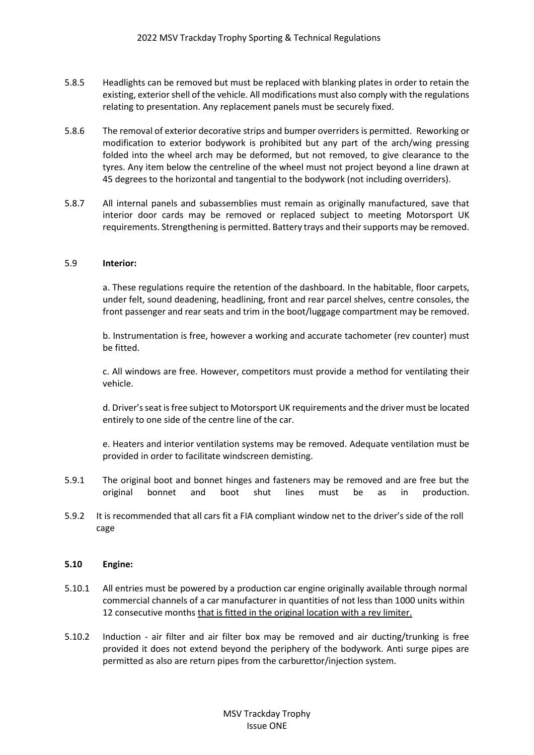- 5.8.5 Headlights can be removed but must be replaced with blanking plates in order to retain the existing, exterior shell of the vehicle. All modifications must also comply with the regulations relating to presentation. Any replacement panels must be securely fixed.
- 5.8.6 The removal of exterior decorative strips and bumper overriders is permitted. Reworking or modification to exterior bodywork is prohibited but any part of the arch/wing pressing folded into the wheel arch may be deformed, but not removed, to give clearance to the tyres. Any item below the centreline of the wheel must not project beyond a line drawn at 45 degrees to the horizontal and tangential to the bodywork (not including overriders).
- 5.8.7 All internal panels and subassemblies must remain as originally manufactured, save that interior door cards may be removed or replaced subject to meeting Motorsport UK requirements. Strengthening is permitted. Battery trays and their supports may be removed.

#### 5.9 **Interior:**

a. These regulations require the retention of the dashboard. In the habitable, floor carpets, under felt, sound deadening, headlining, front and rear parcel shelves, centre consoles, the front passenger and rear seats and trim in the boot/luggage compartment may be removed.

b. Instrumentation is free, however a working and accurate tachometer (rev counter) must be fitted.

c. All windows are free. However, competitors must provide a method for ventilating their vehicle.

d. Driver's seat is free subject to Motorsport UK requirements and the driver must be located entirely to one side of the centre line of the car.

e. Heaters and interior ventilation systems may be removed. Adequate ventilation must be provided in order to facilitate windscreen demisting.

- 5.9.1 The original boot and bonnet hinges and fasteners may be removed and are free but the original bonnet and boot shut lines must be as in production.
- 5.9.2 It is recommended that all cars fit a FIA compliant window net to the driver's side of the roll cage

#### **5.10 Engine:**

- 5.10.1 All entries must be powered by a production car engine originally available through normal commercial channels of a car manufacturer in quantities of not less than 1000 units within 12 consecutive months that is fitted in the original location with a rev limiter.
- 5.10.2 Induction air filter and air filter box may be removed and air ducting/trunking is free provided it does not extend beyond the periphery of the bodywork. Anti surge pipes are permitted as also are return pipes from the carburettor/injection system.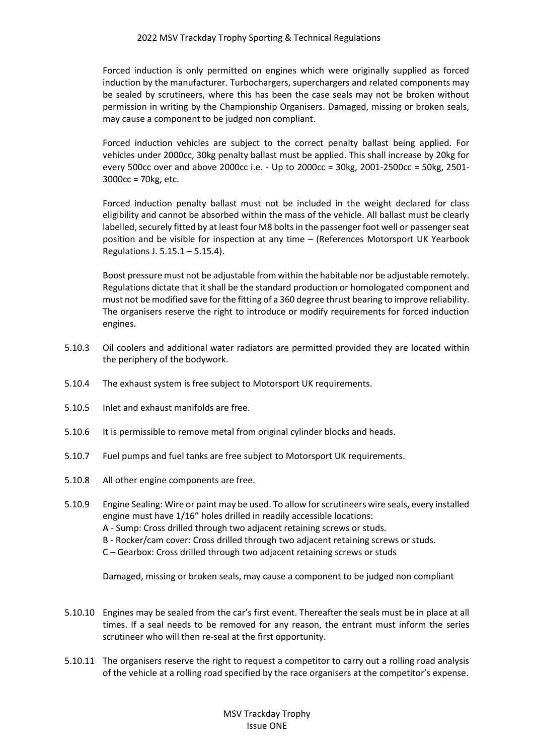Forced induction is only permitted on engines which were originally supplied as forced induction by the manufacturer. Turbochargers, superchargers and related components may be sealed by scrutineers, where this has been the case seals may not be broken without permission in writing by the Championship Organisers. Damaged, missing or broken seals, may cause a component to be judged non compliant.

Forced induction vehicles are subject to the correct penalty ballast being applied. For vehicles under 2000cc, 30kg penalty ballast must be applied. This shall increase by 20kg for every 500cc over and above 2000cc i.e. - Up to 2000cc = 30kg, 2001-2500cc = 50kg, 2501- 3000cc = 70kg, etc.

Forced induction penalty ballast must not be included in the weight declared for class eligibility and cannot be absorbed within the mass of the vehicle. All ballast must be clearly labelled, securely fitted by at least four M8 bolts in the passenger foot well or passenger seat position and be visible for inspection at any time – (References Motorsport UK Yearbook Regulations J. 5.15.1 – 5.15.4).

Boost pressure must not be adjustable from within the habitable nor be adjustable remotely. Regulations dictate that it shall be the standard production or homologated component and must not be modified save for the fitting of a 360 degree thrust bearing to improve reliability. The organisers reserve the right to introduce or modify requirements for forced induction engines.

- 5.10.3 Oil coolers and additional water radiators are permitted provided they are located within the periphery of the bodywork.
- 5.10.4 The exhaust system is free subject to Motorsport UK requirements.
- 5.10.5 Inlet and exhaust manifolds are free.
- 5.10.6 It is permissible to remove metal from original cylinder blocks and heads.
- 5.10.7 Fuel pumps and fuel tanks are free subject to Motorsport UK requirements.
- 5.10.8 All other engine components are free.
- 5.10.9 Engine Sealing: Wire or paint may be used. To allow for scrutineers wire seals, every installed engine must have 1/16" holes drilled in readily accessible locations: A - Sump: Cross drilled through two adjacent retaining screws or studs.
	- B Rocker/cam cover: Cross drilled through two adjacent retaining screws or studs.
	- C Gearbox: Cross drilled through two adjacent retaining screws or studs

Damaged, missing or broken seals, may cause a component to be judged non compliant

5.10.10 Engines may be sealed from the car's first event. Thereafter the seals must be in place at all times. If a seal needs to be removed for any reason, the entrant must inform the series scrutineer who will then re-seal at the first opportunity.

5.10.11 The organisers reserve the right to request a competitor to carry out a rolling road analysis of the vehicle at a rolling road specified by the race organisers at the competitor's expense.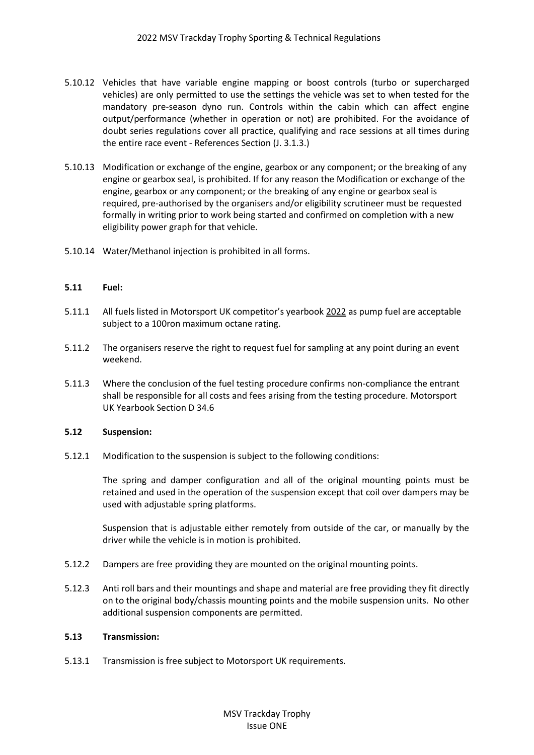- 5.10.12 Vehicles that have variable engine mapping or boost controls (turbo or supercharged vehicles) are only permitted to use the settings the vehicle was set to when tested for the mandatory pre-season dyno run. Controls within the cabin which can affect engine output/performance (whether in operation or not) are prohibited. For the avoidance of doubt series regulations cover all practice, qualifying and race sessions at all times during the entire race event - References Section (J. 3.1.3.)
- 5.10.13 Modification or exchange of the engine, gearbox or any component; or the breaking of any engine or gearbox seal, is prohibited. If for any reason the Modification or exchange of the engine, gearbox or any component; or the breaking of any engine or gearbox seal is required, pre-authorised by the organisers and/or eligibility scrutineer must be requested formally in writing prior to work being started and confirmed on completion with a new eligibility power graph for that vehicle.
- 5.10.14 Water/Methanol injection is prohibited in all forms.

## **5.11 Fuel:**

- 5.11.1 All fuels listed in Motorsport UK competitor's yearbook 2022 as pump fuel are acceptable subject to a 100ron maximum octane rating.
- 5.11.2 The organisers reserve the right to request fuel for sampling at any point during an event weekend.
- 5.11.3 Where the conclusion of the fuel testing procedure confirms non-compliance the entrant shall be responsible for all costs and fees arising from the testing procedure. Motorsport UK Yearbook Section D 34.6

#### **5.12 Suspension:**

5.12.1 Modification to the suspension is subject to the following conditions:

The spring and damper configuration and all of the original mounting points must be retained and used in the operation of the suspension except that coil over dampers may be used with adjustable spring platforms.

Suspension that is adjustable either remotely from outside of the car, or manually by the driver while the vehicle is in motion is prohibited.

- 5.12.2 Dampers are free providing they are mounted on the original mounting points.
- 5.12.3 Anti roll bars and their mountings and shape and material are free providing they fit directly on to the original body/chassis mounting points and the mobile suspension units. No other additional suspension components are permitted.

#### **5.13 Transmission:**

5.13.1 Transmission is free subject to Motorsport UK requirements.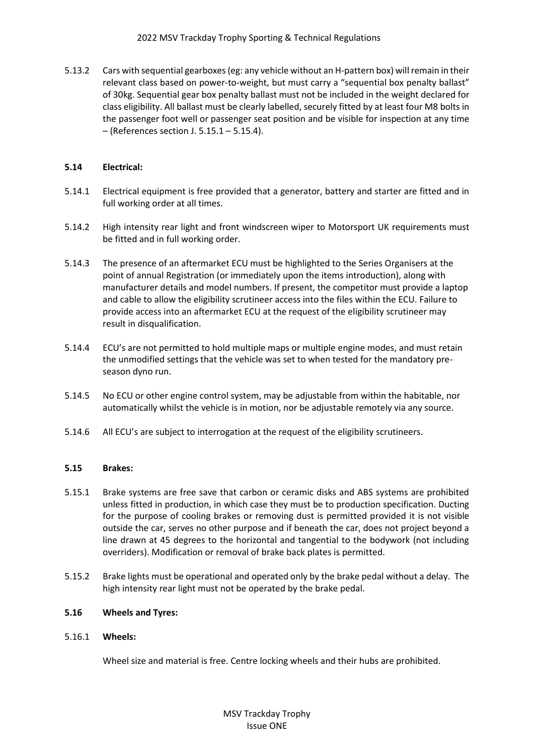## 2022 MSV Trackday Trophy Sporting & Technical Regulations

5.13.2 Cars with sequential gearboxes (eg: any vehicle without an H-pattern box) will remain in their relevant class based on power-to-weight, but must carry a "sequential box penalty ballast" of 30kg. Sequential gear box penalty ballast must not be included in the weight declared for class eligibility. All ballast must be clearly labelled, securely fitted by at least four M8 bolts in the passenger foot well or passenger seat position and be visible for inspection at any time – (References section J. 5.15.1 – 5.15.4).

# **5.14 Electrical:**

- 5.14.1 Electrical equipment is free provided that a generator, battery and starter are fitted and in full working order at all times.
- 5.14.2 High intensity rear light and front windscreen wiper to Motorsport UK requirements must be fitted and in full working order.
- 5.14.3 The presence of an aftermarket ECU must be highlighted to the Series Organisers at the point of annual Registration (or immediately upon the items introduction), along with manufacturer details and model numbers. If present, the competitor must provide a laptop and cable to allow the eligibility scrutineer access into the files within the ECU. Failure to provide access into an aftermarket ECU at the request of the eligibility scrutineer may result in disqualification.
- 5.14.4 ECU's are not permitted to hold multiple maps or multiple engine modes, and must retain the unmodified settings that the vehicle was set to when tested for the mandatory preseason dyno run.
- 5.14.5 No ECU or other engine control system, may be adjustable from within the habitable, nor automatically whilst the vehicle is in motion, nor be adjustable remotely via any source.
- 5.14.6 All ECU's are subject to interrogation at the request of the eligibility scrutineers.

## **5.15 Brakes:**

- 5.15.1 Brake systems are free save that carbon or ceramic disks and ABS systems are prohibited unless fitted in production, in which case they must be to production specification. Ducting for the purpose of cooling brakes or removing dust is permitted provided it is not visible outside the car, serves no other purpose and if beneath the car, does not project beyond a line drawn at 45 degrees to the horizontal and tangential to the bodywork (not including overriders). Modification or removal of brake back plates is permitted.
- 5.15.2 Brake lights must be operational and operated only by the brake pedal without a delay. The high intensity rear light must not be operated by the brake pedal.

# **5.16 Wheels and Tyres:**

## 5.16.1 **Wheels:**

Wheel size and material is free. Centre locking wheels and their hubs are prohibited.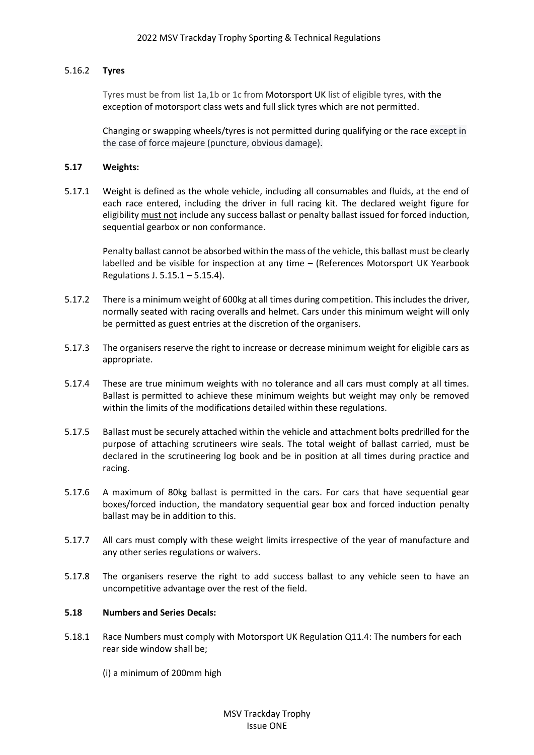# 5.16.2 **Tyres**

Tyres must be from list 1a,1b or 1c from Motorsport UK list of eligible tyres, with the exception of motorsport class wets and full slick tyres which are not permitted.

Changing or swapping wheels/tyres is not permitted during qualifying or the race except in the case of force majeure (puncture, obvious damage).

## **5.17 Weights:**

5.17.1 Weight is defined as the whole vehicle, including all consumables and fluids, at the end of each race entered, including the driver in full racing kit. The declared weight figure for eligibility must not include any success ballast or penalty ballast issued for forced induction, sequential gearbox or non conformance.

Penalty ballast cannot be absorbed within the mass of the vehicle, this ballast must be clearly labelled and be visible for inspection at any time – (References Motorsport UK Yearbook Regulations J. 5.15.1 – 5.15.4).

- 5.17.2 There is a minimum weight of 600kg at all times during competition. This includes the driver, normally seated with racing overalls and helmet. Cars under this minimum weight will only be permitted as guest entries at the discretion of the organisers.
- 5.17.3 The organisers reserve the right to increase or decrease minimum weight for eligible cars as appropriate.
- 5.17.4 These are true minimum weights with no tolerance and all cars must comply at all times. Ballast is permitted to achieve these minimum weights but weight may only be removed within the limits of the modifications detailed within these regulations.
- 5.17.5 Ballast must be securely attached within the vehicle and attachment bolts predrilled for the purpose of attaching scrutineers wire seals. The total weight of ballast carried, must be declared in the scrutineering log book and be in position at all times during practice and racing.
- 5.17.6 A maximum of 80kg ballast is permitted in the cars. For cars that have sequential gear boxes/forced induction, the mandatory sequential gear box and forced induction penalty ballast may be in addition to this.
- 5.17.7 All cars must comply with these weight limits irrespective of the year of manufacture and any other series regulations or waivers.
- 5.17.8 The organisers reserve the right to add success ballast to any vehicle seen to have an uncompetitive advantage over the rest of the field.

# **5.18 Numbers and Series Decals:**

- 5.18.1 Race Numbers must comply with Motorsport UK Regulation Q11.4: The numbers for each rear side window shall be;
	- (i) a minimum of 200mm high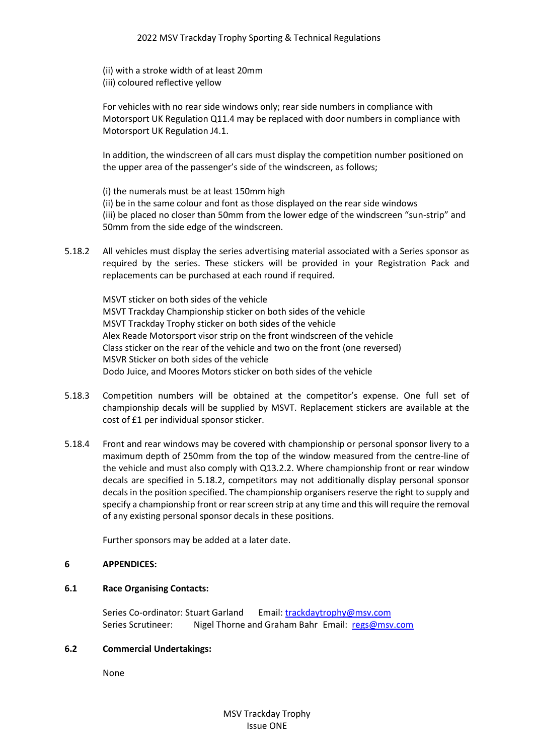(ii) with a stroke width of at least 20mm (iii) coloured reflective yellow

For vehicles with no rear side windows only; rear side numbers in compliance with Motorsport UK Regulation Q11.4 may be replaced with door numbers in compliance with Motorsport UK Regulation J4.1.

In addition, the windscreen of all cars must display the competition number positioned on the upper area of the passenger's side of the windscreen, as follows;

(i) the numerals must be at least 150mm high (ii) be in the same colour and font as those displayed on the rear side windows (iii) be placed no closer than 50mm from the lower edge of the windscreen "sun-strip" and 50mm from the side edge of the windscreen.

5.18.2 All vehicles must display the series advertising material associated with a Series sponsor as required by the series. These stickers will be provided in your Registration Pack and replacements can be purchased at each round if required.

MSVT sticker on both sides of the vehicle MSVT Trackday Championship sticker on both sides of the vehicle MSVT Trackday Trophy sticker on both sides of the vehicle Alex Reade Motorsport visor strip on the front windscreen of the vehicle Class sticker on the rear of the vehicle and two on the front (one reversed) MSVR Sticker on both sides of the vehicle Dodo Juice, and Moores Motors sticker on both sides of the vehicle

- 5.18.3 Competition numbers will be obtained at the competitor's expense. One full set of championship decals will be supplied by MSVT. Replacement stickers are available at the cost of £1 per individual sponsor sticker.
- 5.18.4 Front and rear windows may be covered with championship or personal sponsor livery to a maximum depth of 250mm from the top of the window measured from the centre-line of the vehicle and must also comply with Q13.2.2. Where championship front or rear window decals are specified in 5.18.2, competitors may not additionally display personal sponsor decals in the position specified. The championship organisers reserve the right to supply and specify a championship front or rear screen strip at any time and this will require the removal of any existing personal sponsor decals in these positions.

Further sponsors may be added at a later date.

# **6 APPENDICES:**

## **6.1 Race Organising Contacts:**

Series Co-ordinator: Stuart Garland Email: [trackdaytrophy@msv.com](mailto:trackdaytrophy@msv.com) Series Scrutineer: Nigel Thorne and Graham Bahr Email: [regs@msv.com](mailto:regs@msv.com)

## **6.2 Commercial Undertakings:**

None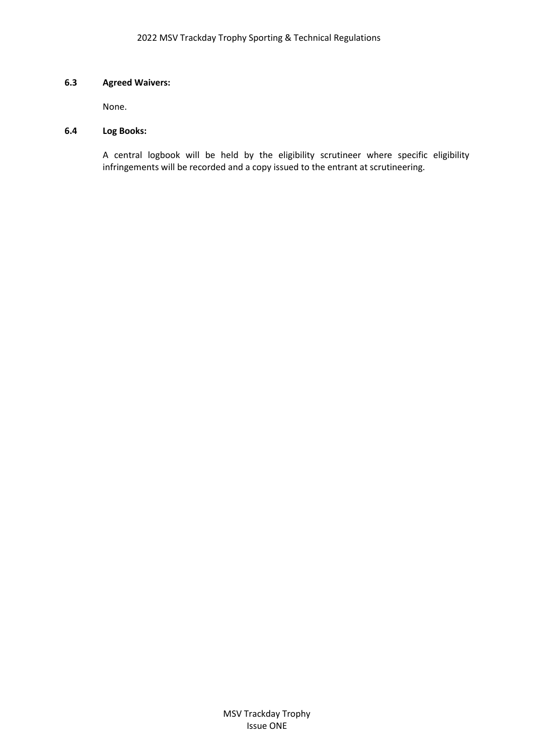## **6.3 Agreed Waivers:**

None.

#### **6.4 Log Books:**

A central logbook will be held by the eligibility scrutineer where specific eligibility infringements will be recorded and a copy issued to the entrant at scrutineering.